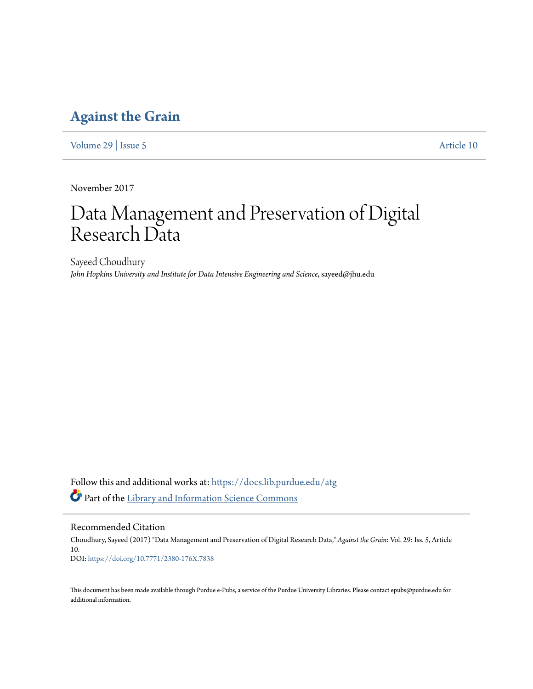# **[Against the Grain](https://docs.lib.purdue.edu/atg?utm_source=docs.lib.purdue.edu%2Fatg%2Fvol29%2Fiss5%2F10&utm_medium=PDF&utm_campaign=PDFCoverPages)**

[Volume 29](https://docs.lib.purdue.edu/atg/vol29?utm_source=docs.lib.purdue.edu%2Fatg%2Fvol29%2Fiss5%2F10&utm_medium=PDF&utm_campaign=PDFCoverPages) | [Issue 5](https://docs.lib.purdue.edu/atg/vol29/iss5?utm_source=docs.lib.purdue.edu%2Fatg%2Fvol29%2Fiss5%2F10&utm_medium=PDF&utm_campaign=PDFCoverPages) [Article 10](https://docs.lib.purdue.edu/atg/vol29/iss5/10?utm_source=docs.lib.purdue.edu%2Fatg%2Fvol29%2Fiss5%2F10&utm_medium=PDF&utm_campaign=PDFCoverPages)

November 2017

# Data Management and Preservation of Digital Research Data

Sayeed Choudhury *John Hopkins University and Institute for Data Intensive Engineering and Science*, sayeed@jhu.edu

Follow this and additional works at: [https://docs.lib.purdue.edu/atg](https://docs.lib.purdue.edu/atg?utm_source=docs.lib.purdue.edu%2Fatg%2Fvol29%2Fiss5%2F10&utm_medium=PDF&utm_campaign=PDFCoverPages) Part of the [Library and Information Science Commons](http://network.bepress.com/hgg/discipline/1018?utm_source=docs.lib.purdue.edu%2Fatg%2Fvol29%2Fiss5%2F10&utm_medium=PDF&utm_campaign=PDFCoverPages)

Recommended Citation

Choudhury, Sayeed (2017) "Data Management and Preservation of Digital Research Data," *Against the Grain*: Vol. 29: Iss. 5, Article 10. DOI: <https://doi.org/10.7771/2380-176X.7838>

This document has been made available through Purdue e-Pubs, a service of the Purdue University Libraries. Please contact epubs@purdue.edu for additional information.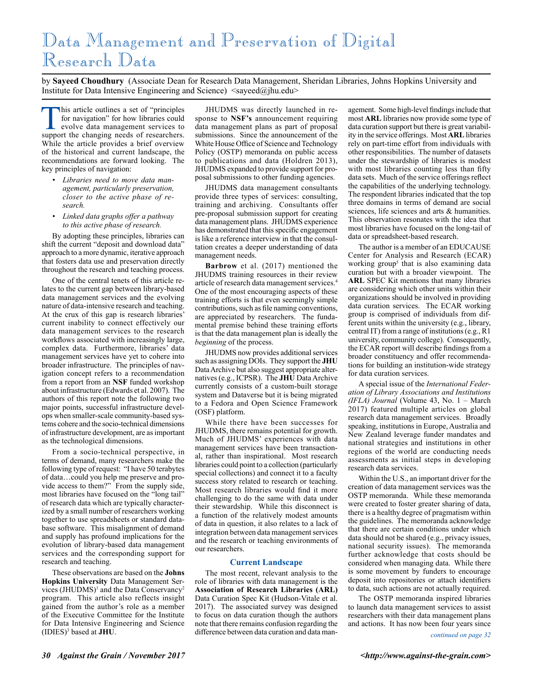# Data Management and Preservation of Digital Research Data

by **Sayeed Choudhury** (Associate Dean for Research Data Management, Sheridan Libraries, Johns Hopkins University and Institute for Data Intensive Engineering and Science)  $\langle$ sayeed $\langle \hat{\omega} \rangle$ jhu.edu>

Ihis article outlines a set of "principles" for navigation" for how libraries could evolve data management services to support the changing needs of researchers. While the article provides a brief overview of the historical and current landscape, the recommendations are forward looking. The key principles of navigation:

- *• Libraries need to move data management, particularly preservation, closer to the active phase of research.*
- *• Linked data graphs offer a pathway to this active phase of research.*

By adopting these principles, libraries can shift the current "deposit and download data" approach to a more dynamic, iterative approach that fosters data use and preservation directly throughout the research and teaching process.

One of the central tenets of this article relates to the current gap between library-based data management services and the evolving nature of data-intensive research and teaching. At the crux of this gap is research libraries' current inability to connect effectively our data management services to the research workflows associated with increasingly large, complex data. Furthermore, libraries' data management services have yet to cohere into broader infrastructure. The principles of navigation concept refers to a recommendation from a report from an **NSF** funded workshop about infrastructure (Edwards et al. 2007). The authors of this report note the following two major points, successful infrastructure develops when smaller-scale community-based systems cohere and the socio-technical dimensions of infrastructure development, are as important as the technological dimensions.

From a socio-technical perspective, in terms of demand, many researchers make the following type of request: "I have 50 terabytes of data…could you help me preserve and provide access to them?" From the supply side, most libraries have focused on the "long tail" of research data which are typically characterized by a small number of researchers working together to use spreadsheets or standard database software. This misalignment of demand and supply has profound implications for the evolution of library-based data management services and the corresponding support for research and teaching.

These observations are based on the **Johns Hopkins University** Data Management Services (JHUDMS)<sup>1</sup> and the Data Conservancy<sup>2</sup> program. This article also reflects insight gained from the author's role as a member of the Executive Committee for the Institute for Data Intensive Engineering and Science (IDIES)3 based at **JHU**.

JHUDMS was directly launched in response to **NSF's** announcement requiring data management plans as part of proposal submissions. Since the announcement of the White House Office of Science and Technology Policy (OSTP) memoranda on public access to publications and data (Holdren 2013), JHUDMS expanded to provide support for proposal submissions to other funding agencies.

JHUDMS data management consultants provide three types of services: consulting, training and archiving. Consultants offer pre-proposal submission support for creating data management plans. JHUDMS experience has demonstrated that this specific engagement is like a reference interview in that the consultation creates a deeper understanding of data management needs.

**Barbrow** et al. (2017) mentioned the JHUDMS training resources in their review article of research data management services.4 One of the most encouraging aspects of these training efforts is that even seemingly simple contributions, such as file naming conventions, are appreciated by researchers. The fundamental premise behind these training efforts is that the data management plan is ideally the *beginning* of the process.

JHUDMS now provides additional services such as assigning DOIs. They support the **JHU** Data Archive but also suggest appropriate alternatives (e.g., ICPSR). The **JHU** Data Archive currently consists of a custom-built storage system and Dataverse but it is being migrated to a Fedora and Open Science Framework (OSF) platform.

While there have been successes for JHUDMS, there remains potential for growth. Much of JHUDMS' experiences with data management services have been transactional, rather than inspirational. Most research libraries could point to a collection (particularly special collections) and connect it to a faculty success story related to research or teaching. Most research libraries would find it more challenging to do the same with data under their stewardship. While this disconnect is a function of the relatively modest amounts of data in question, it also relates to a lack of integration between data management services and the research or teaching environments of our researchers.

#### **Current Landscape**

The most recent, relevant analysis to the role of libraries with data management is the **Association of Research Libraries (ARL)** Data Curation Spec Kit (Hudson-Vitale et al. 2017). The associated survey was designed to focus on data curation though the authors note that there remains confusion regarding the difference between data curation and data management. Some high-level findings include that most **ARL** libraries now provide some type of data curation support but there is great variability in the service offerings. Most **ARL** libraries rely on part-time effort from individuals with other responsibilities. The number of datasets under the stewardship of libraries is modest with most libraries counting less than fifty data sets. Much of the service offerings reflect the capabilities of the underlying technology. The respondent libraries indicated that the top three domains in terms of demand are social sciences, life sciences and arts & humanities. This observation resonates with the idea that most libraries have focused on the long-tail of data or spreadsheet-based research.

The author is a member of an EDUCAUSE Center for Analysis and Research (ECAR) working group<sup>5</sup> that is also examining data curation but with a broader viewpoint. The **ARL** SPEC Kit mentions that many libraries are considering which other units within their organizations should be involved in providing data curation services. The ECAR working group is comprised of individuals from different units within the university (e.g., library, central IT) from a range of institutions (e.g., R1 university, community college). Consequently, the ECAR report will describe findings from a broader constituency and offer recommendations for building an institution-wide strategy for data curation services.

A special issue of the *International Federation of Library Associations and Institutions (IFLA) Journal* (Volume 43, No. 1 – March 2017) featured multiple articles on global research data management services. Broadly speaking, institutions in Europe, Australia and New Zealand leverage funder mandates and national strategies and institutions in other regions of the world are conducting needs assessments as initial steps in developing research data services.

Within the U.S., an important driver for the creation of data management services was the OSTP memoranda. While these memoranda were created to foster greater sharing of data, there is a healthy degree of pragmatism within the guidelines. The memoranda acknowledge that there are certain conditions under which data should not be shared (e.g., privacy issues, national security issues). The memoranda further acknowledge that costs should be considered when managing data. While there is some movement by funders to encourage deposit into repositories or attach identifiers to data, such actions are not actually required.

The OSTP memoranda inspired libraries to launch data management services to assist researchers with their data management plans and actions. It has now been four years since

*continued on page 32*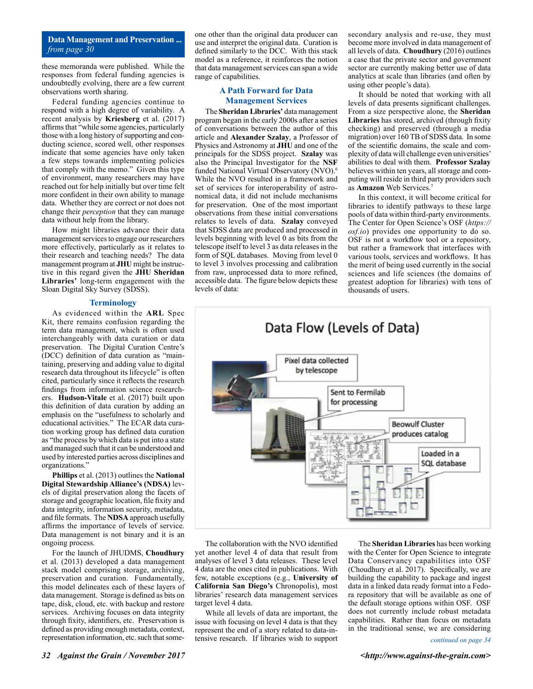### **Data Management and Preservation ...** *from page 30*

these memoranda were published. While the responses from federal funding agencies is undoubtedly evolving, there are a few current observations worth sharing.

Federal funding agencies continue to respond with a high degree of variability. A recent analysis by **Kriesberg** et al. (2017) affirms that "while some agencies, particularly those with a long history of supporting and conducting science, scored well, other responses indicate that some agencies have only taken a few steps towards implementing policies that comply with the memo." Given this type of environment, many researchers may have reached out for help initially but over time felt more confident in their own ability to manage data. Whether they are correct or not does not change their *perception* that they can manage data without help from the library.

How might libraries advance their data management services to engage our researchers more effectively, particularly as it relates to their research and teaching needs? The data management program at **JHU** might be instructive in this regard given the **JHU Sheridan Libraries'** long-term engagement with the Sloan Digital Sky Survey (SDSS).

#### **Terminology**

As evidenced within the **ARL** Spec Kit, there remains confusion regarding the term data management, which is often used interchangeably with data curation or data preservation. The Digital Curation Centre's (DCC) definition of data curation as "maintaining, preserving and adding value to digital research data throughout its lifecycle" is often cited, particularly since it reflects the research findings from information science researchers. **Hudson-Vitale** et al. (2017) built upon this definition of data curation by adding an emphasis on the "usefulness to scholarly and educational activities." The ECAR data curation working group has defined data curation as "the process by which data is put into a state and managed such that it can be understood and used by interested parties across disciplines and organizations."

**Phillips** et al. (2013) outlines the **National Digital Stewardship Alliance's (NDSA)** levels of digital preservation along the facets of storage and geographic location, file fixity and data integrity, information security, metadata, and file formats. The **NDSA** approach usefully affirms the importance of levels of service. Data management is not binary and it is an ongoing process.

For the launch of JHUDMS, **Choudhury** et al. (2013) developed a data management stack model comprising storage, archiving, preservation and curation. Fundamentally, this model delineates each of these layers of data management. Storage is defined as bits on tape, disk, cloud, etc. with backup and restore services. Archiving focuses on data integrity through fixity, identifiers, etc. Preservation is defined as providing enough metadata, context, representation information, etc. such that some-

one other than the original data producer can use and interpret the original data. Curation is defined similarly to the DCC. With this stack model as a reference, it reinforces the notion that data management services can span a wide range of capabilities.

## **A Path Forward for Data Management Services**

The **Sheridan Libraries'** data management program began in the early 2000s after a series of conversations between the author of this article and **Alexander Szalay**, a Professor of Physics and Astronomy at **JHU** and one of the principals for the SDSS project. **Szalay** was also the Principal Investigator for the **NSF** funded National Virtual Observatory (NVO).<sup>6</sup> While the NVO resulted in a framework and set of services for interoperability of astronomical data, it did not include mechanisms for preservation. One of the most important observations from these initial conversations relates to levels of data. **Szalay** conveyed that SDSS data are produced and processed in levels beginning with level 0 as bits from the telescope itself to level 3 as data releases in the form of SQL databases. Moving from level 0 to level 3 involves processing and calibration from raw, unprocessed data to more refined, accessible data. The figure below depicts these levels of data:

secondary analysis and re-use, they must become more involved in data management of all levels of data. **Choudhury** (2016) outlines a case that the private sector and government sector are currently making better use of data analytics at scale than libraries (and often by using other people's data).

It should be noted that working with all levels of data presents significant challenges. From a size perspective alone, the **Sheridan Libraries** has stored, archived (through fixity checking) and preserved (through a media migration) over 160 TB of SDSS data. In some of the scientific domains, the scale and complexity of data will challenge even universities' abilities to deal with them. **Professor Szalay** believes within ten years, all storage and computing will reside in third party providers such as **Amazon** Web Services.7

In this context, it will become critical for libraries to identify pathways to these large pools of data within third-party environments. The Center for Open Science's OSF (*https:// osf.io*) provides one opportunity to do so. OSF is not a workflow tool or a repository, but rather a framework that interfaces with various tools, services and workflows. It has the merit of being used currently in the social sciences and life sciences (the domains of greatest adoption for libraries) with tens of thousands of users.



The collaboration with the NVO identified yet another level 4 of data that result from analyses of level 3 data releases. These level 4 data are the ones cited in publications. With few, notable exceptions (e.g., **University of California San Diego's** Chronopolis), most libraries' research data management services target level 4 data.

While all levels of data are important, the issue with focusing on level 4 data is that they represent the end of a story related to data-intensive research. If libraries wish to support

The **Sheridan Libraries** has been working with the Center for Open Science to integrate Data Conservancy capabilities into OSF (Choudhury et al. 2017). Specifically, we are building the capability to package and ingest data in a linked data ready format into a Fedora repository that will be available as one of the default storage options within OSF. OSF does not currently include robust metadata capabilities. Rather than focus on metadata in the traditional sense, we are considering

#### *continued on page 34*